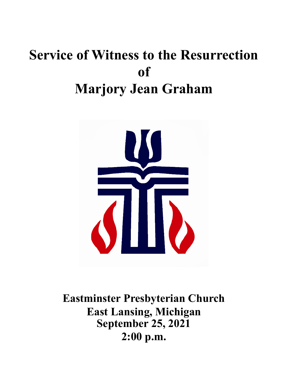# **Service of Witness to the Resurrection of Marjory Jean Graham**



**Eastminster Presbyterian Church East Lansing, Michigan September 25, 2021 2:00 p.m.**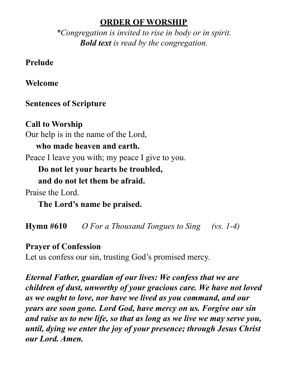#### **ORDER OF WORSHIP**

*\*Congregation is invited to rise in body or in spirit. Bold text is read by the congregation.*

**Prelude**

**Welcome**

# **Sentences of Scripture**

**Call to Worship** Our help is in the name of the Lord, **who made heaven and earth.** Peace I leave you with; my peace I give to you. **Do not let your hearts be troubled, and do not let them be afraid.**

Praise the Lord.

**The Lord's name be praised.**

**Hymn #610** *O For a Thousand Tongues to Sing (vs. 1-4)*

# **Prayer of Confession**

Let us confess our sin, trusting God's promised mercy.

*Eternal Father, guardian of our lives: We confess that we are children of dust, unworthy of your gracious care. We have not loved as we ought to love, nor have we lived as you command, and our years are soon gone. Lord God, have mercy on us. Forgive our sin and raise us to new life, so that as long as we live we may serve you, until, dying we enter the joy of your presence; through Jesus Christ our Lord. Amen.*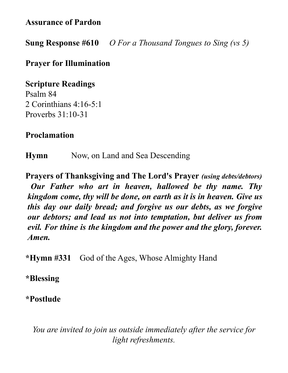**Assurance of Pardon**

**Sung Response #610** *O For a Thousand Tongues to Sing (vs 5)*

## **Prayer for Illumination**

**Scripture Readings** Psalm 84 2 Corinthians 4:16-5:1 Proverbs 31:10-31

## **Proclamation**

**Hymn** Now, on Land and Sea Descending

**Prayers of Thanksgiving and The Lord's Prayer** *(using debts/debtors) Our Father who art in heaven, hallowed be thy name. Thy kingdom come, thy will be done, on earth as it is in heaven. Give us this day our daily bread; and forgive us our debts, as we forgive our debtors; and lead us not into temptation, but deliver us from evil. For thine is the kingdom and the power and the glory, forever. Amen.*

**\*Hymn #331** God of the Ages, Whose Almighty Hand

**\*Blessing**

**\*Postlude**

*You are invited to join us outside immediately after the service for light refreshments.*